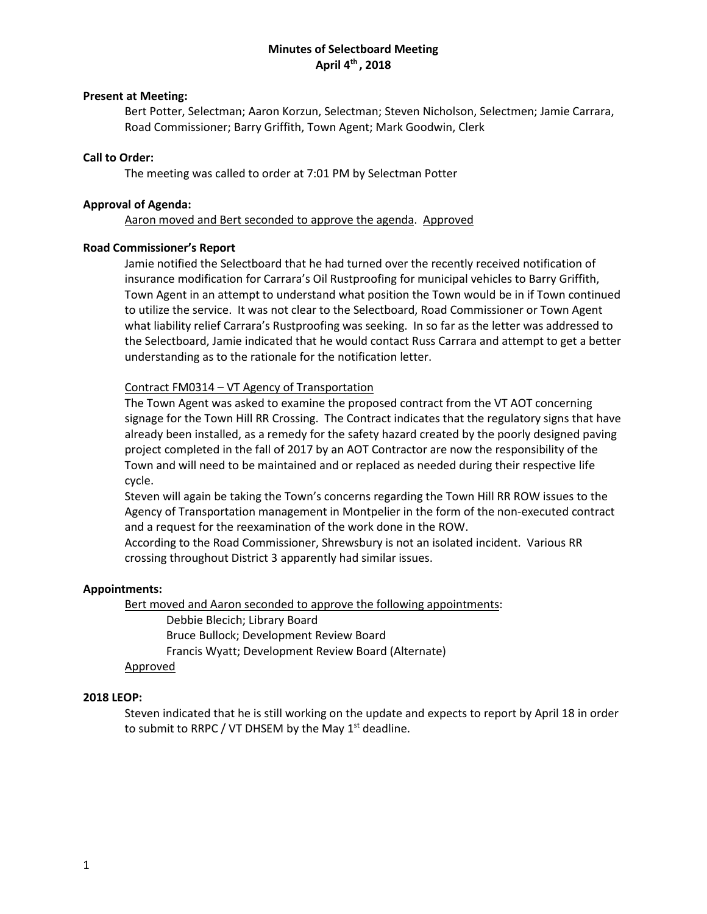## **Minutes of Selectboard Meeting April 4th , 2018**

## **Present at Meeting:**

Bert Potter, Selectman; Aaron Korzun, Selectman; Steven Nicholson, Selectmen; Jamie Carrara, Road Commissioner; Barry Griffith, Town Agent; Mark Goodwin, Clerk

## **Call to Order:**

The meeting was called to order at 7:01 PM by Selectman Potter

## **Approval of Agenda:**

Aaron moved and Bert seconded to approve the agenda. Approved

## **Road Commissioner's Report**

Jamie notified the Selectboard that he had turned over the recently received notification of insurance modification for Carrara's Oil Rustproofing for municipal vehicles to Barry Griffith, Town Agent in an attempt to understand what position the Town would be in if Town continued to utilize the service. It was not clear to the Selectboard, Road Commissioner or Town Agent what liability relief Carrara's Rustproofing was seeking. In so far as the letter was addressed to the Selectboard, Jamie indicated that he would contact Russ Carrara and attempt to get a better understanding as to the rationale for the notification letter.

## Contract FM0314 – VT Agency of Transportation

The Town Agent was asked to examine the proposed contract from the VT AOT concerning signage for the Town Hill RR Crossing. The Contract indicates that the regulatory signs that have already been installed, as a remedy for the safety hazard created by the poorly designed paving project completed in the fall of 2017 by an AOT Contractor are now the responsibility of the Town and will need to be maintained and or replaced as needed during their respective life cycle.

Steven will again be taking the Town's concerns regarding the Town Hill RR ROW issues to the Agency of Transportation management in Montpelier in the form of the non-executed contract and a request for the reexamination of the work done in the ROW.

According to the Road Commissioner, Shrewsbury is not an isolated incident. Various RR crossing throughout District 3 apparently had similar issues.

## **Appointments:**

Bert moved and Aaron seconded to approve the following appointments:

Debbie Blecich; Library Board Bruce Bullock; Development Review Board Francis Wyatt; Development Review Board (Alternate)

# Approved

#### **2018 LEOP:**

Steven indicated that he is still working on the update and expects to report by April 18 in order to submit to RRPC / VT DHSEM by the May  $1<sup>st</sup>$  deadline.